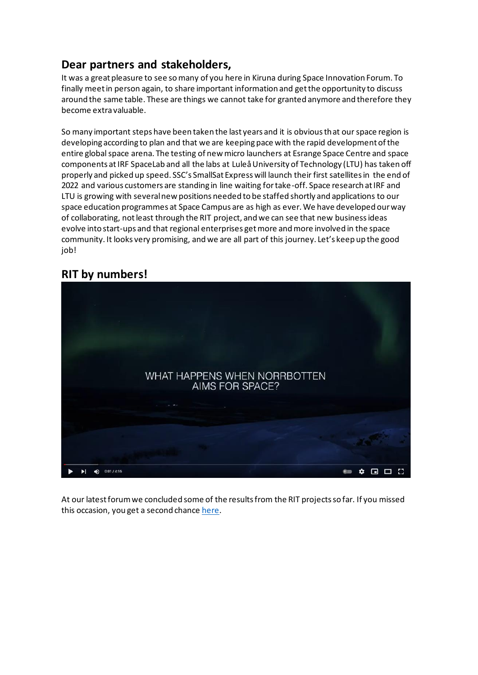# **Dear partners and stakeholders,**

It was a great pleasure to see so many of you here in Kiruna during Space Innovation Forum. To finally meet in person again, to share important information and get the opportunity to discuss around the same table. These are things we cannot take for granted anymore and therefore they become extra valuable.

So many important steps have been taken the last years and it is obvious that our space region is developing according to plan and that we are keeping pace with the rapid development of the entire global space arena. The testing of new micro launchers at Esrange Space Centre and space components at IRF SpaceLab and all the labs at Luleå University of Technology (LTU) has taken off properly and picked up speed. SSC's SmallSat Express will launch their first satellites in the end of 2022 and various customers are standing in line waiting for take-off. Space research at IRF and LTU is growing with several new positions needed to be staffed shortly and applications to our space education programmes at Space Campus are as high as ever. We have developed our way of collaborating, not least through the RIT project, and we can see that new business ideas evolve into start-ups and that regional enterprises get more and more involved in the space community. It looks very promising, and we are all part of this journey. Let's keep up the good job!

## **[RIT by numbers!](https://youtu.be/XqRDGH-mxas)**



At our latest forum we concluded some of the results from the RIT projects so far. If you missed this occasion, you get a second chanc[e here.](https://youtu.be/XqRDGH-mxas)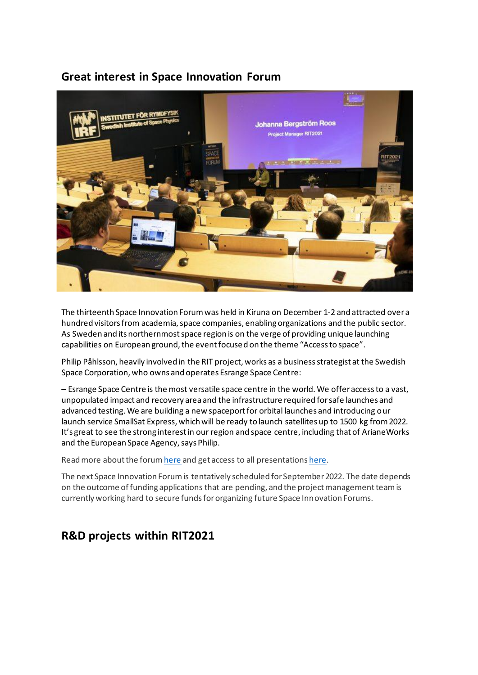### **[Great interest in Space Innovation Forum](https://ritspace.se/great-interest-in-space-innovation-forum/)**



The thirteenth Space Innovation Forum was held in Kiruna on December 1-2 and attracted over a hundred visitors from academia, space companies, enabling organizations and the public sector. As Sweden and its northernmost space region is on the verge of providing unique launching capabilities on European ground, the event focused on the theme "Access to space".

Philip Påhlsson, heavily involved in the RIT project, works as a business strategist at the Swedish Space Corporation, who owns and operates Esrange Space Centre:

– Esrange Space Centre is the most versatile space centre in the world. We offer access to a vast, unpopulated impact and recovery area and the infrastructure required for safe launches and advanced testing. We are building a new spaceport for orbital launches and introducing our launch service SmallSat Express, which will be ready to launch satellites up to 1500 kg from 2022. It's great to see the strong interest in our region and space centre, including that of ArianeWorks and the European Space Agency, says Philip.

Read more about the foru[m here](https://ritspace.se/great-interest-in-space-innovation-forum/) and get access to all presentation[s here](https://ritspace.se/events/event-documentation/).

The next Space Innovation Forum is tentatively scheduled for September 2022. The date depends on the outcome of funding applications that are pending, and the project management team is currently working hard to secure funds for organizing future Space Innovation Forums.

## **R&D projects within RIT2021**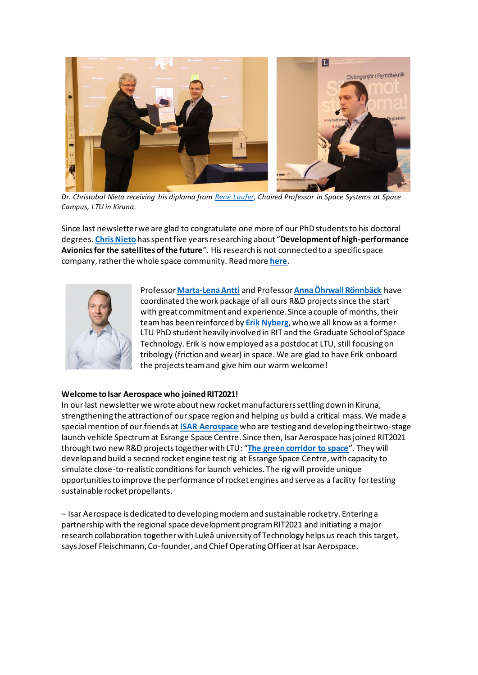

*Dr. Christobal Nieto receiving his diploma from [René Laufer,](https://www.ltu.se/staff/r/renlau-1.200572?l=en) Chaired Professor in Space Systems at Space Campus, LTU in Kiruna.*

Since last newsletter we are glad to congratulate one more of our PhD students to his doctoral degrees. **[Chris Nieto](https://www.ltu.se/staff/c/chrnie-1.143156?l=en)** has spent five years researching about "**Development of high-performance Avionics for the satellites of the future**". His research is not connected to a specific space company, rather the whole space community. Read more **[here](https://ritspace.se/about/projects/development-of-high-performance-avionics-for-the-satellites-of-the-future/)**.



Professor **[Marta-Lena Antti](https://www.ltu.se/staff/m/marta-1.9946?l=en)** and Professor**[Anna Öhrwall Rönnbäck](https://www.ltu.se/staff/a/annohr-1.119959?l=en)** have coordinated the work package of all ours R&D projects since the start with great commitment and experience. Since a couple of months, their team has been reinforced by **[Erik Nyberg](https://www.ltu.se/staff/e/erinyb-1.142180?l=en)**, who we all know as a former LTU PhD student heavily involved in RIT and the Graduate School of Space Technology. Erik is now employed as a postdoc at LTU, still focusing on tribology (friction and wear) in space. We are glad to have Erik onboard the projects team and give him our warm welcome!

#### **Welcome to Isar Aerospace who joined RIT2021!**

In our last newsletter we wrote about new rocket manufacturers settling down in Kiruna, strengthening the attraction of our space region and helping us build a critical mass. We made a special mention of our friends at **[ISAR Aerospace](https://eur02.safelinks.protection.outlook.com/?url=https%3A%2F%2Fwww.isaraerospace.com%2F&data=04%7C01%7C%7C3d763b1963884219dd2908d93548315e%7C5453408ba6cd4c1e8b1018b500fb544e%7C1%7C0%7C637599406458251395%7CUnknown%7CTWFpbGZsb3d8eyJWIjoiMC4wLjAwMDAiLCJQIjoiV2luMzIiLCJBTiI6Ik1haWwiLCJXVCI6Mn0%3D%7C1000&sdata=seQewaSecNabJbyQRB45DVr2fehqc3l5Crr4gqelqr0%3D&reserved=0)** who are testing and developing their two-stage launch vehicle Spectrum at Esrange Space Centre. Since then, Isar Aerospace has joined RIT2021 through two new R&D projects together with LTU: "**[The green corridor to space](https://ritspace.se/about/projects/the-green-corridor-to-space-an-optimal-test-facility-for-modern-rocketry/)**". They will develop and build a second rocket engine test rig at Esrange Space Centre, with capacity to simulate close-to-realistic conditions for launch vehicles. The rig will provide unique opportunities to improve the performance of rocket engines and serve as a facility for testing sustainable rocket propellants.

– Isar Aerospace is dedicated to developing modern and sustainable rocketry. Entering a partnership with the regional space development program RIT2021 and initiating a major research collaboration together with Luleå university of Technology helps us reach this target, says Josef Fleischmann, Co-founder, and Chief Operating Officer at Isar Aerospace.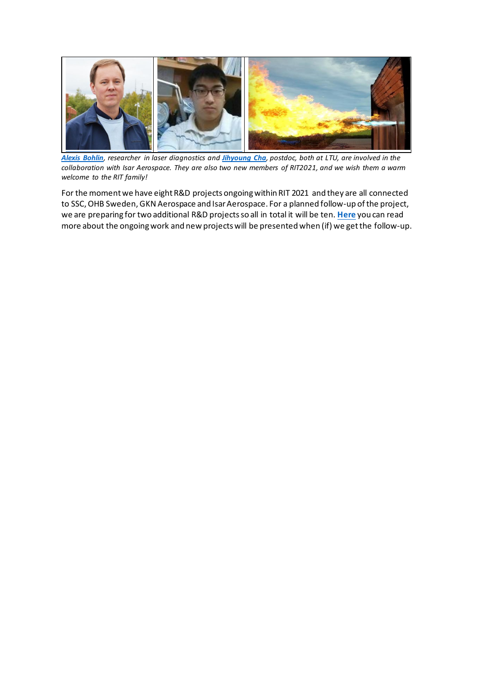

*[Alexis Bohlin](https://www.ltu.se/staff/a/aleboh-1.210340?l=en), researcher in laser diagnostics and [Jihyoung](https://www.ltu.se/staff/j/jihcha-1.201400?l=en) Cha, postdoc, both at LTU, are involved in the collaboration with Isar Aerospace. They are also two new members of RIT2021, and we wish them a warm welcome to the RIT family!*

For the moment we have eight R&D projects ongoing within RIT 2021 and they are all connected to SSC, OHB Sweden, GKN Aerospace and Isar Aerospace. For a planned follow-up of the project, we are preparing for two additional R&D projects so all in total it will be ten. **[Here](https://ritspace.se/about/projects/)** you can read more about the ongoing work and new projects will be presented when (if) we get the follow-up.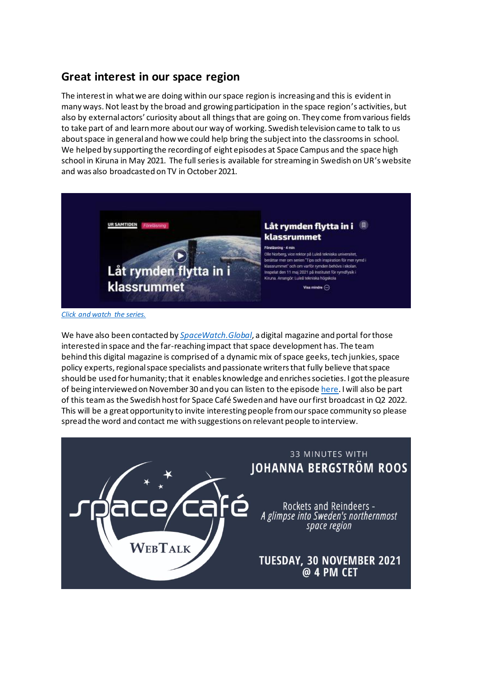## **Great interest in our space region**

The interest in what we are doing within our space region is increasing and this is evidentin many ways. Not least by the broad and growing participation in the space region's activities, but also by external actors' curiosity about all things that are going on. They come from various fields to take part of and learn more about our way of working. Swedish television came to talk to us about space in general and how we could help bring the subject into the classrooms in school. We helped by supporting the recording of eight episodes at Space Campus and the [space high](https://rymdgymnasiet.com/)  [school](https://rymdgymnasiet.com/) in Kiruna in May 2021. The full series is available for streaming in Swedish on UR's website and was also broadcasted on TV in October 2021.



*[Click and watch the series.](https://ritspace.se/tips-and-inspiration-for-more-space-in-the-classroom/)*

We have also been contacted by *[SpaceWatch.Global](https://spacewatch.global/)*, a digital magazine and portal for those interested in space and the far-reaching impact that space development has. The team behind this digital magazine is comprised of a dynamic mix of space geeks, tech junkies, space policy experts, regional space specialists and passionate writers that fully believe that space should be used for humanity; that it enables knowledge and enriches societies. I got the pleasure of being interviewed on November 30 and you can listen to the episod[e here](https://spacewatch.global/2021/12/space-cafe-webtalk-with-johanna-bergstrom-roos-the-space-region-in-swedens-north/). I will also be part of this team as the Swedish host for Space Café Sweden and have our first broadcast in Q2 2022. This will be a great opportunity to invite interesting people from our space community so please spread the word and contact me with suggestions on relevant people to interview.

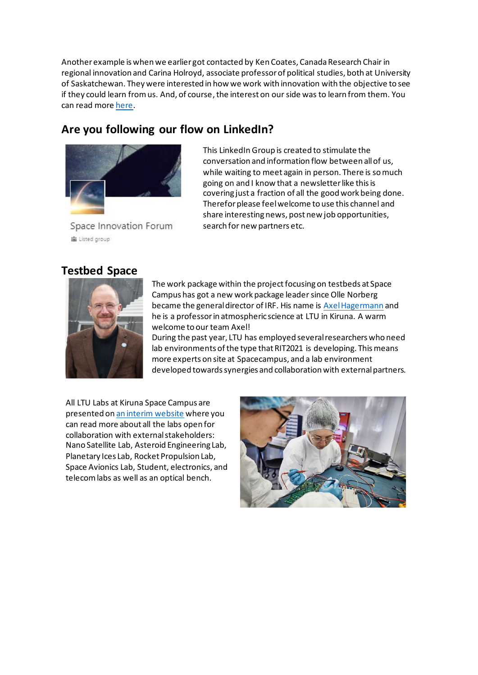Another example is when we earlier got contacted by Ken Coates, Canada Research Chair in regional innovation and Carina Holroyd, associate professor of political studies, both at University of Saskatchewan. They were interested in how we work with innovation with the objective to see if they could learn from us. And, of course, the interest on our side was to learn from them. You can read mor[e here.](https://www.schoolofpublicpolicy.sk.ca/research/publications/policy-brief/innovation-in-northern-sweden.php)

# **Are you following our flow on LinkedIn?**



This LinkedIn Group is created to stimulate the conversation and information flow between all of us, while waiting to meet again in person. There is so much going on and I know that a newsletter like this is covering just a fraction of all the good work being done. Therefor please feel welcome to use this channel and share interesting news, post new job opportunities, search for new partners etc.

Space Innovation Forum 当 Listed group

### **Testbed Space**



The work package within the project focusing on testbeds at Space Campus has got a new work package leader since Olle Norberg became the general director of IRF. His name i[s Axel Hagermann](https://www.ltu.se/staff/a/axehag-1.204295?l=en) and he is a professor in atmospheric science at LTU in Kiruna. A warm welcome to our team Axel!

During the past year, LTU has employed several researchers who need lab environments of the type that RIT2021 is developing. This means more experts on site at Spacecampus, and a lab environment developed towards synergies and collaboration with external partners.

All LTU Labs at Kiruna Space Campus are presented o[n an interim website](https://stirlingplanetaryiceslab.wordpress.com/ltu-space-campus/) where you can read more about all the labs open for collaboration with external stakeholders: Nano Satellite Lab, Asteroid Engineering Lab, Planetary Ices Lab, Rocket Propulsion Lab, Space Avionics Lab, Student, electronics, and telecom labs as well as an optical bench.

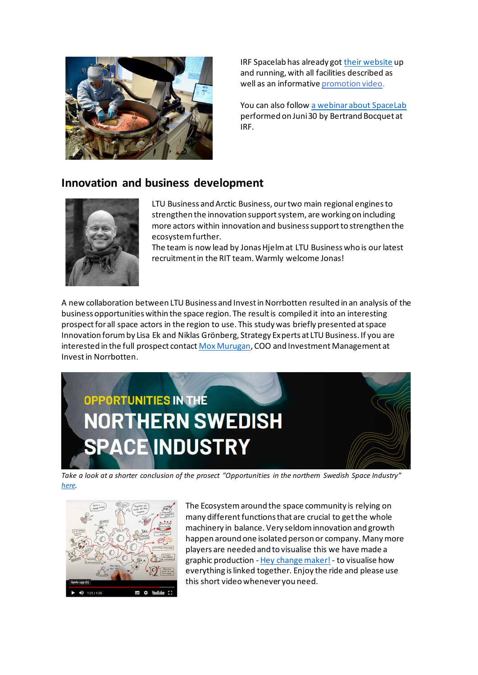

IRF Spacelab has already go[t their website](https://spacelab.irf.se/) up and running, with all facilities described as well as an informativ[e promotion video.](https://eur02.safelinks.protection.outlook.com/?url=https%3A%2F%2Fwww.youtube.com%2Fwatch%3Fv%3DmIE-N5aVXVo%26feature%3Demb_title&data=04%7C01%7C%7C0819555cf8fb4f615e5208d8a50c349d%7C5453408ba6cd4c1e8b1018b500fb544e%7C1%7C0%7C637440819998380628%7CUnknown%7CTWFpbGZsb3d8eyJWIjoiMC4wLjAwMDAiLCJQIjoiV2luMzIiLCJBTiI6Ik1haWwiLCJXVCI6Mn0%3D%7C2000&sdata=14cCusAlerplravXvHXYXo31Oivqi2hD0i%2FYSklnnpA%3D&reserved=0)

You can also follo[w a webinar about SpaceLab](https://www.youtube.com/watch?v=HMe9fBACwYM&t=13s) performed on Juni 30 by Bertrand Bocquet at IRF.

## **Innovation and business development**



LTU Business and Arctic Business, our two main regional engines to strengthen the innovation support system, are working on including more actors within innovation and business support to strengthen the ecosystem further.

The team is now lead by Jonas Hjelm at LTU Business who is our latest recruitment in the RIT team. Warmly welcome Jonas!

A new collaboration between LTU Business and Invest in Norrbotten resulted in an analysis of the business opportunities within the space region. The result is compiled it into an interesting prospect for all space actors in the region to use. This study was briefly presented at space Innovation forum by Lisa Ek and Niklas Grönberg, Strategy Experts at LTU Business. If you are interested in the full prospect contac[t Mox Murugan,](mailto:mox@investinnorrbotten.se) COO and Investment Management at Invest in Norrbotten.



*Take a look at a shorter conclusion of the prosect "Opportunities in the northern Swedish Space Industry" [here.](https://ritspace.se/wp-content/uploads/2021/12/Lisa-Niklas-Mox.pdf)*



The Ecosystem around the space community is relying on many different functions that are crucial to get the whole machinery in balance. Very seldom innovation and growth happen around one isolated person or company. Many more players are needed and to visualise this we have made a graphic production - [Hey change maker!](https://ritspace.se/about/initiate-an-innovation-ecosystem-for-the-space-industry/)- to visualise how everything is linked together. Enjoy the ride and please use this short video whenever you need.